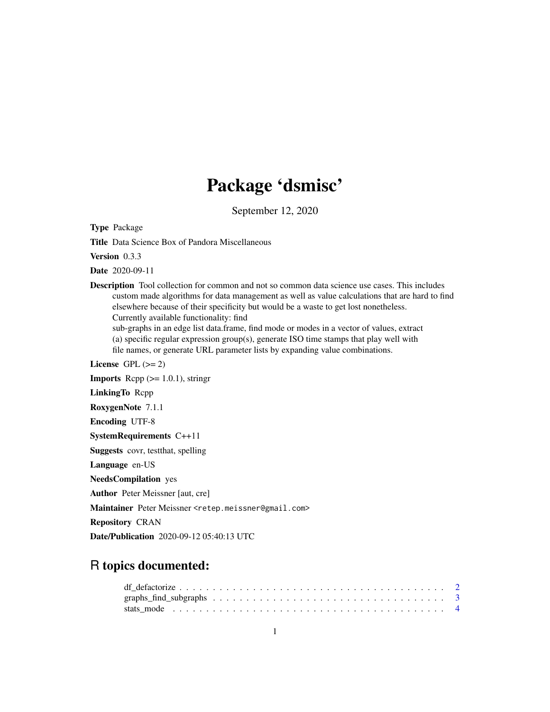## Package 'dsmisc'

September 12, 2020

Type Package

Title Data Science Box of Pandora Miscellaneous

Version 0.3.3

Date 2020-09-11

Description Tool collection for common and not so common data science use cases. This includes custom made algorithms for data management as well as value calculations that are hard to find elsewhere because of their specificity but would be a waste to get lost nonetheless. Currently available functionality: find

sub-graphs in an edge list data.frame, find mode or modes in a vector of values, extract (a) specific regular expression group(s), generate ISO time stamps that play well with file names, or generate URL parameter lists by expanding value combinations.

License GPL  $(>= 2)$ 

**Imports** Rcpp  $(>= 1.0.1)$ , stringr

LinkingTo Rcpp

RoxygenNote 7.1.1

Encoding UTF-8

SystemRequirements C++11

Suggests covr, testthat, spelling

Language en-US

NeedsCompilation yes

Author Peter Meissner [aut, cre]

Maintainer Peter Meissner <retep.meissner@gmail.com>

Repository CRAN

Date/Publication 2020-09-12 05:40:13 UTC

### R topics documented:

| graphs_find_subgraphs $\ldots \ldots \ldots \ldots \ldots \ldots \ldots \ldots \ldots \ldots \ldots \ldots \ldots$ |  |  |  |  |  |  |  |  |  |  |  |  |  |  |  |  |  |
|--------------------------------------------------------------------------------------------------------------------|--|--|--|--|--|--|--|--|--|--|--|--|--|--|--|--|--|
|                                                                                                                    |  |  |  |  |  |  |  |  |  |  |  |  |  |  |  |  |  |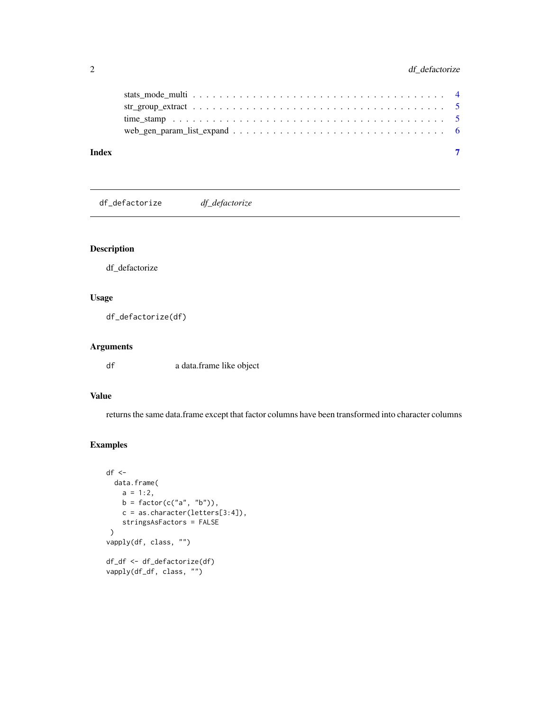<span id="page-1-0"></span>

| Index |  |
|-------|--|
|       |  |
|       |  |
|       |  |
|       |  |

df\_defactorize *df\_defactorize*

#### Description

df\_defactorize

#### Usage

df\_defactorize(df)

#### Arguments

df a data.frame like object

#### Value

returns the same data.frame except that factor columns have been transformed into character columns

#### Examples

```
df < -data.frame(
   a = 1:2,b = factor(c("a", "b")),
   c = as.character(letters[3:4]),
    stringsAsFactors = FALSE
 )
vapply(df, class, "")
df_df <- df_defactorize(df)
vapply(df_df, class, "")
```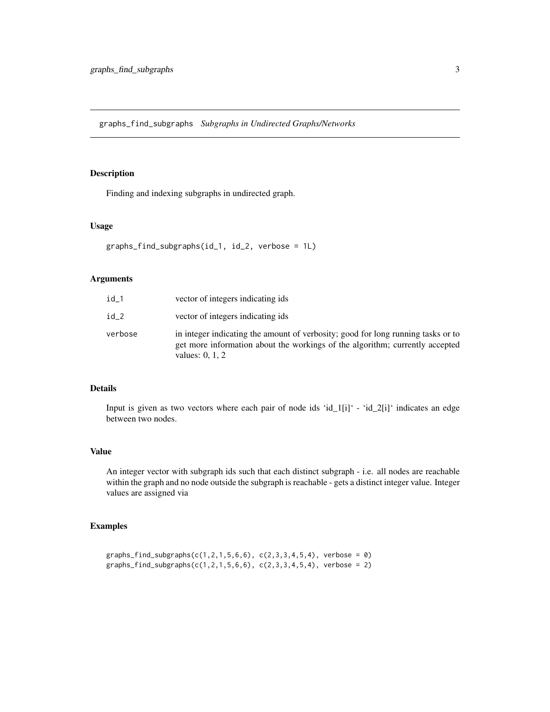<span id="page-2-0"></span>graphs\_find\_subgraphs *Subgraphs in Undirected Graphs/Networks*

#### Description

Finding and indexing subgraphs in undirected graph.

#### Usage

```
graphs_find_subgraphs(id_1, id_2, verbose = 1L)
```
#### Arguments

| id 1    | vector of integers indicating ids                                                                                                                                                     |
|---------|---------------------------------------------------------------------------------------------------------------------------------------------------------------------------------------|
| id 2    | vector of integers indicating ids                                                                                                                                                     |
| verbose | in integer indicating the amount of verbosity; good for long running tasks or to<br>get more information about the workings of the algorithm; currently accepted<br>values: $0, 1, 2$ |

#### Details

Input is given as two vectors where each pair of node ids 'id\_1[i]' - 'id\_2[i]' indicates an edge between two nodes.

#### Value

An integer vector with subgraph ids such that each distinct subgraph - i.e. all nodes are reachable within the graph and no node outside the subgraph is reachable - gets a distinct integer value. Integer values are assigned via

#### Examples

```
graphs_find_subgraphs(c(1,2,1,5,6,6), c(2,3,3,4,5,4), verbose = 0)graphs_find_subgraphs(c(1,2,1,5,6,6), c(2,3,3,4,5,4), verbose = 2)
```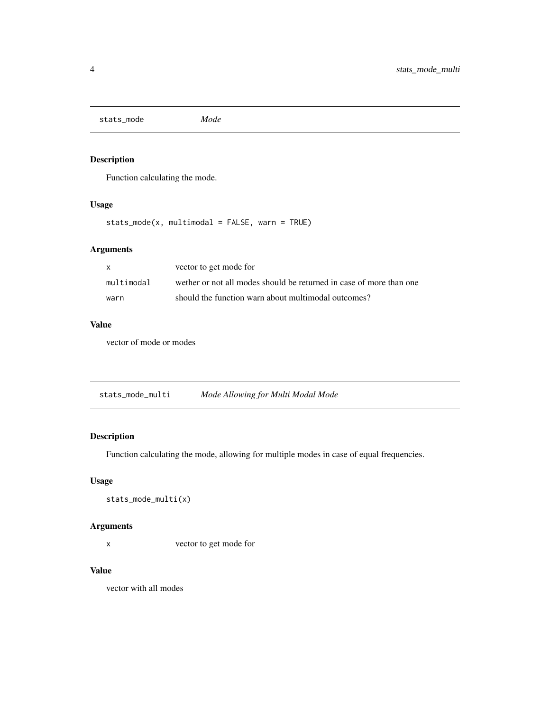<span id="page-3-0"></span>stats\_mode *Mode*

#### Description

Function calculating the mode.

#### Usage

stats\_mode(x, multimodal = FALSE, warn = TRUE)

#### Arguments

| $\mathsf{X}$ | vector to get mode for                                              |
|--------------|---------------------------------------------------------------------|
| multimodal   | wether or not all modes should be returned in case of more than one |
| warn         | should the function warn about multimodal outcomes?                 |

#### Value

vector of mode or modes

#### Description

Function calculating the mode, allowing for multiple modes in case of equal frequencies.

#### Usage

```
stats_mode_multi(x)
```
#### Arguments

x vector to get mode for

#### Value

vector with all modes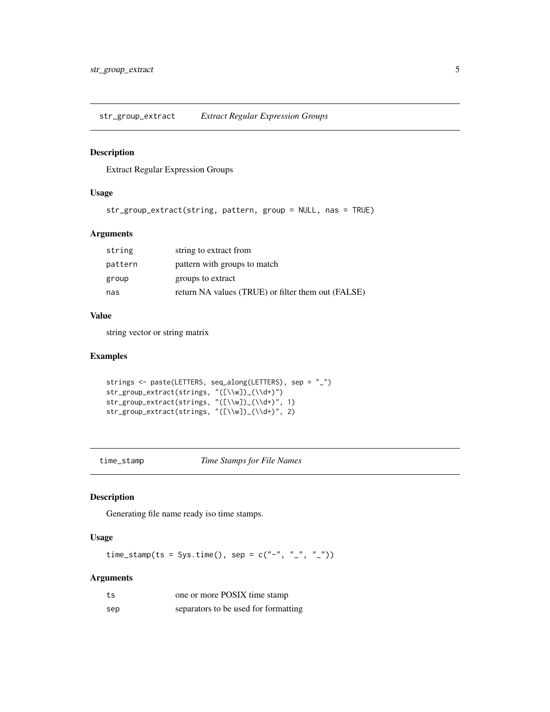<span id="page-4-0"></span>str\_group\_extract *Extract Regular Expression Groups*

#### Description

Extract Regular Expression Groups

#### Usage

```
str_group_extract(string, pattern, group = NULL, nas = TRUE)
```
#### Arguments

| string  | string to extract from                             |
|---------|----------------------------------------------------|
| pattern | pattern with groups to match                       |
| group   | groups to extract                                  |
| nas     | return NA values (TRUE) or filter them out (FALSE) |

#### Value

string vector or string matrix

#### Examples

```
strings <- paste(LETTERS, seq_along(LETTERS), sep = "_")
str_group_extract(strings, "([\\w])_(\\d+)")
str_group_extract(strings, "([\\w])_(\\d+)", 1)
str_group_extract(strings, "([\\w])_(\\d+)", 2)
```
time\_stamp *Time Stamps for File Names*

#### Description

Generating file name ready iso time stamps.

#### Usage

time\_stamp(ts = Sys.time(), sep =  $c("-'", "-'", "-'')$ )

#### Arguments

| ts  | one or more POSIX time stamp         |
|-----|--------------------------------------|
| sep | separators to be used for formatting |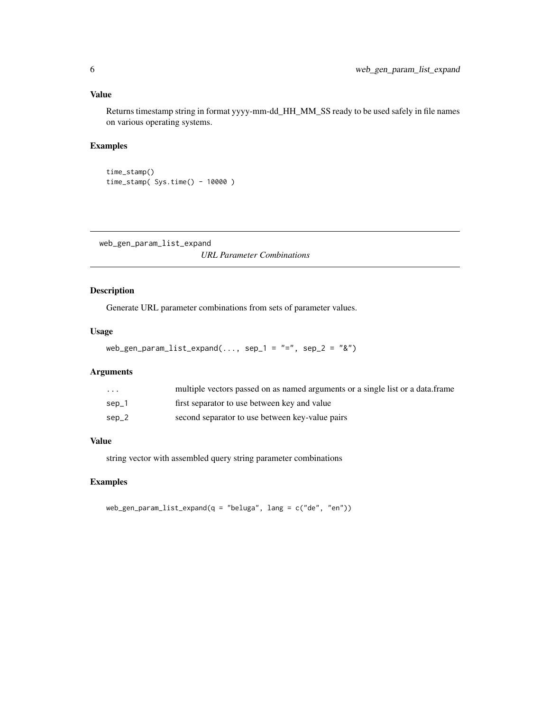#### <span id="page-5-0"></span>Value

Returns timestamp string in format yyyy-mm-dd\_HH\_MM\_SS ready to be used safely in file names on various operating systems.

#### Examples

```
time_stamp()
time_stamp( Sys.time() - 10000 )
```
web\_gen\_param\_list\_expand

*URL Parameter Combinations*

#### Description

Generate URL parameter combinations from sets of parameter values.

#### Usage

```
web_gen_param_list_expand(..., sep_1 = "=", sep_2 = "&")
```
#### Arguments

| $\cdot$ $\cdot$ $\cdot$ | multiple vectors passed on as named arguments or a single list or a data frame |
|-------------------------|--------------------------------------------------------------------------------|
| sep_1                   | first separator to use between key and value                                   |
| $sep_2$                 | second separator to use between key-value pairs                                |

#### Value

string vector with assembled query string parameter combinations

#### Examples

web\_gen\_param\_list\_expand(q = "beluga", lang = c("de", "en"))